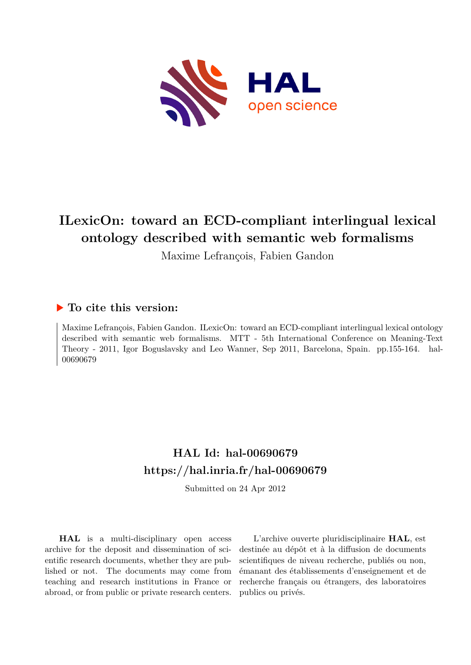

Maxime Lefrançois, Fabien Gandon

### **To cite this version:**

Maxime Lefrançois, Fabien Gandon. ILexicOn: toward an ECD-compliant interlingual lexical ontology described with semantic web formalisms. MTT - 5th International Conference on Meaning-Text Theory - 2011, Igor Boguslavsky and Leo Wanner, Sep 2011, Barcelona, Spain. pp.155-164. hal-00690679

## **HAL Id: hal-00690679 <https://hal.inria.fr/hal-00690679>**

Submitted on 24 Apr 2012

**HAL** is a multi-disciplinary open access archive for the deposit and dissemination of scientific research documents, whether they are published or not. The documents may come from teaching and research institutions in France or abroad, or from public or private research centers.

L'archive ouverte pluridisciplinaire **HAL**, est destinée au dépôt et à la diffusion de documents scientifiques de niveau recherche, publiés ou non, émanant des établissements d'enseignement et de recherche français ou étrangers, des laboratoires publics ou privés.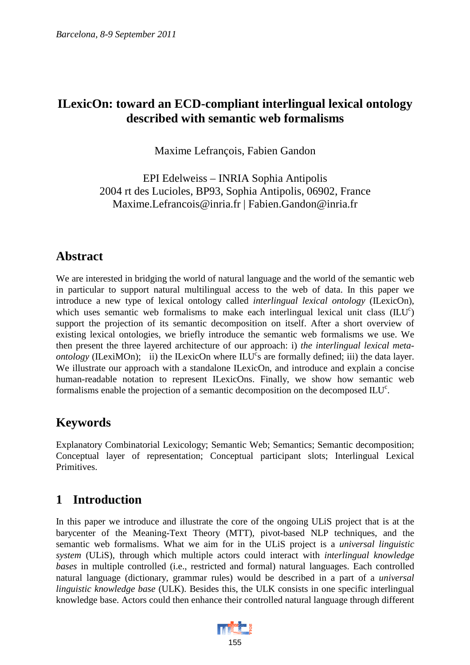Maxime Lefrançois, Fabien Gandon

EPI Edelweiss – INRIA Sophia Antipolis 2004 rt des Lucioles, BP93, Sophia Antipolis, 06902, France Maxime.Lefrancois@inria.fr | Fabien.Gandon@inria.fr

### **Abstract**

We are interested in bridging the world of natural language and the world of the semantic web in particular to support natural multilingual access to the web of data. In this paper we introduce a new type of lexical ontology called *interlingual lexical ontology* (ILexicOn), which uses semantic web formalisms to make each interlingual lexical unit class  $(ILU<sup>c</sup>)$ support the projection of its semantic decomposition on itself. After a short overview of existing lexical ontologies, we briefly introduce the semantic web formalisms we use. We then present the three layered architecture of our approach: i) *the interlingual lexical metaontology* (ILexiMOn); ii) the ILexicOn where  $\text{ILU}^c$ s are formally defined; iii) the data layer. We illustrate our approach with a standalone ILexicOn, and introduce and explain a concise human-readable notation to represent ILexicOns. Finally, we show how semantic web formalisms enable the projection of a semantic decomposition on the decomposed  $\text{ILU}^c$ .

### **Keywords**

Explanatory Combinatorial Lexicology; Semantic Web; Semantics; Semantic decomposition; Conceptual layer of representation; Conceptual participant slots; Interlingual Lexical Primitives.

## **1 Introduction**

In this paper we introduce and illustrate the core of the ongoing ULiS project that is at the barycenter of the Meaning-Text Theory (MTT), pivot-based NLP techniques, and the semantic web formalisms. What we aim for in the ULiS project is a *universal linguistic system* (ULiS), through which multiple actors could interact with *interlingual knowledge bases* in multiple controlled (i.e., restricted and formal) natural languages. Each controlled natural language (dictionary, grammar rules) would be described in a part of a *universal linguistic knowledge base* (ULK). Besides this, the ULK consists in one specific interlingual knowledge base. Actors could then enhance their controlled natural language through different

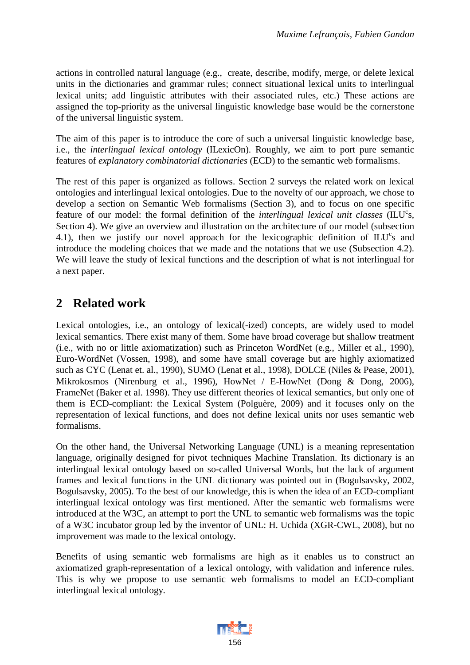actions in controlled natural language (e.g., create, describe, modify, merge, or delete lexical units in the dictionaries and grammar rules; connect situational lexical units to interlingual lexical units; add linguistic attributes with their associated rules, etc.) These actions are assigned the top-priority as the universal linguistic knowledge base would be the cornerstone of the universal linguistic system.

The aim of this paper is to introduce the core of such a universal linguistic knowledge base, i.e., the *interlingual lexical ontology* (ILexicOn). Roughly, we aim to port pure semantic features of *explanatory combinatorial dictionaries* (ECD) to the semantic web formalisms.

The rest of this paper is organized as follows. Section 2 surveys the related work on lexical ontologies and interlingual lexical ontologies. Due to the novelty of our approach, we chose to develop a section on Semantic Web formalisms (Section 3), and to focus on one specific feature of our model: the formal definition of the *interlingual lexical unit classes* (ILU<sup>c</sup>s, Section 4). We give an overview and illustration on the architecture of our model (subsection 4.1), then we justify our novel approach for the lexicographic definition of  $ILU<sup>c</sup>s$  and introduce the modeling choices that we made and the notations that we use (Subsection 4.2). We will leave the study of lexical functions and the description of what is not interlingual for a next paper.

### **2 Related work**

Lexical ontologies, i.e., an ontology of lexical(-ized) concepts, are widely used to model lexical semantics. There exist many of them. Some have broad coverage but shallow treatment (i.e., with no or little axiomatization) such as Princeton WordNet (e.g., Miller et al., 1990), Euro-WordNet (Vossen, 1998), and some have small coverage but are highly axiomatized such as CYC (Lenat et. al., 1990), SUMO (Lenat et al., 1998), DOLCE (Niles & Pease, 2001), Mikrokosmos (Nirenburg et al., 1996), HowNet / E-HowNet (Dong & Dong, 2006), FrameNet (Baker et al. 1998). They use different theories of lexical semantics, but only one of them is ECD-compliant: the Lexical System (Polguère, 2009) and it focuses only on the representation of lexical functions, and does not define lexical units nor uses semantic web formalisms.

On the other hand, the Universal Networking Language (UNL) is a meaning representation language, originally designed for pivot techniques Machine Translation. Its dictionary is an interlingual lexical ontology based on so-called Universal Words, but the lack of argument frames and lexical functions in the UNL dictionary was pointed out in (Bogulsavsky, 2002, Bogulsavsky, 2005). To the best of our knowledge, this is when the idea of an ECD-compliant interlingual lexical ontology was first mentioned. After the semantic web formalisms were introduced at the W3C, an attempt to port the UNL to semantic web formalisms was the topic of a W3C incubator group led by the inventor of UNL: H. Uchida (XGR-CWL, 2008), but no improvement was made to the lexical ontology.

Benefits of using semantic web formalisms are high as it enables us to construct an axiomatized graph-representation of a lexical ontology, with validation and inference rules. This is why we propose to use semantic web formalisms to model an ECD-compliant interlingual lexical ontology.

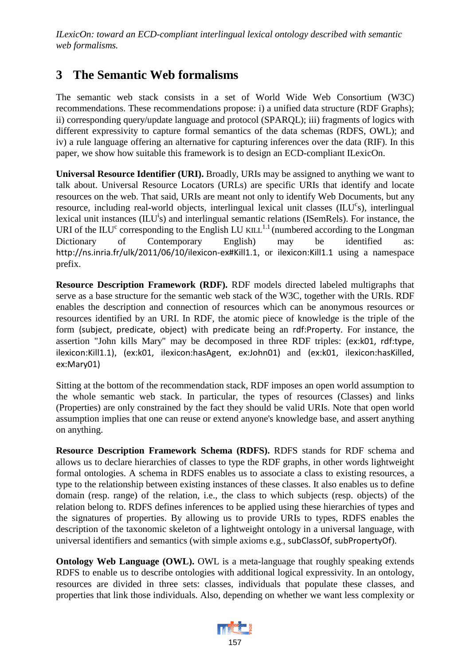## **3 The Semantic Web formalisms**

The semantic web stack consists in a set of World Wide Web Consortium (W3C) recommendations. These recommendations propose: i) a unified data structure (RDF Graphs); ii) corresponding query/update language and protocol (SPARQL); iii) fragments of logics with different expressivity to capture formal semantics of the data schemas (RDFS, OWL); and iv) a rule language offering an alternative for capturing inferences over the data (RIF). In this paper, we show how suitable this framework is to design an ECD-compliant ILexicOn.

**Universal Resource Identifier (URI).** Broadly, URIs may be assigned to anything we want to talk about. Universal Resource Locators (URLs) are specific URIs that identify and locate resources on the web. That said, URIs are meant not only to identify Web Documents, but any resource, including real-world objects, interlingual lexical unit classes (ILU<sup>c</sup>s), interlingual lexical unit instances (ILU<sup>i</sup>s) and interlingual semantic relations (ISemRels). For instance, the URI of the ILU<sup>c</sup> corresponding to the English LU KILL<sup>1.1</sup> (numbered according to the Longman Dictionary of Contemporary English) may be identified http://ns.inria.fr/ulk/2011/06/10/ilexicon-ex#Kill1.1, or ilexicon:Kill1.1 using a namespace prefix.

**Resource Description Framework (RDF).** RDF models directed labeled multigraphs that serve as a base structure for the semantic web stack of the W3C, together with the URIs. RDF enables the description and connection of resources which can be anonymous resources or resources identified by an URI. In RDF, the atomic piece of knowledge is the triple of the form (subject, predicate, object) with predicate being an rdf:Property. For instance, the assertion "John kills Mary" may be decomposed in three RDF triples: (ex:k01, rdf:type, ilexicon:Kill1.1), (ex:k01, ilexicon:hasAgent, ex:John01) and (ex:k01, ilexicon:hasKilled, ex:Mary01)

Sitting at the bottom of the recommendation stack, RDF imposes an open world assumption to the whole semantic web stack. In particular, the types of resources (Classes) and links (Properties) are only constrained by the fact they should be valid URIs. Note that open world assumption implies that one can reuse or extend anyone's knowledge base, and assert anything on anything.

**Resource Description Framework Schema (RDFS).** RDFS stands for RDF schema and allows us to declare hierarchies of classes to type the RDF graphs, in other words lightweight formal ontologies. A schema in RDFS enables us to associate a class to existing resources, a type to the relationship between existing instances of these classes. It also enables us to define domain (resp. range) of the relation, i.e., the class to which subjects (resp. objects) of the relation belong to. RDFS defines inferences to be applied using these hierarchies of types and the signatures of properties. By allowing us to provide URIs to types, RDFS enables the description of the taxonomic skeleton of a lightweight ontology in a universal language, with universal identifiers and semantics (with simple axioms e.g., subClassOf, subPropertyOf).

**Ontology Web Language (OWL).** OWL is a meta-language that roughly speaking extends RDFS to enable us to describe ontologies with additional logical expressivity. In an ontology, resources are divided in three sets: classes, individuals that populate these classes, and properties that link those individuals. Also, depending on whether we want less complexity or

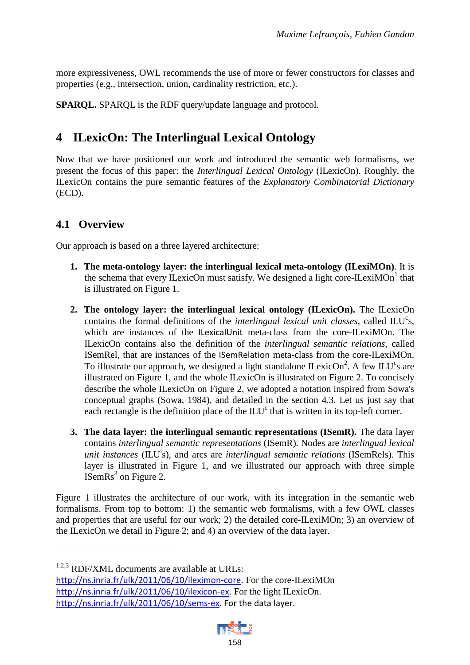more expressiveness, OWL recommends the use of more or fewer constructors for classes and properties (e.g., intersection, union, cardinality restriction, etc.).

**SPARQL.** SPARQL is the RDF query/update language and protocol.

## **4 ILexicOn: The Interlingual Lexical Ontology**

Now that we have positioned our work and introduced the semantic web formalisms, we present the focus of this paper: the *Interlingual Lexical Ontology* (ILexicOn). Roughly, the ILexicOn contains the pure semantic features of the *Explanatory Combinatorial Dictionary* (ECD).

### **4.1 Overview**

Our approach is based on a three layered architecture:

- **1. The meta-ontology layer: the interlingual lexical meta-ontology (ILexiMOn)**. It is the schema that every ILexicOn must satisfy. We designed a light core-ILexiMOn<sup>1</sup> that is illustrated on Figure 1.
- **2. The ontology layer: the interlingual lexical ontology (ILexicOn).** The ILexicOn contains the formal definitions of the *interlingual lexical unit classes*, called ILU<sup>c</sup>s, which are instances of the ILexicalUnit meta-class from the core-ILexiMOn. The ILexicOn contains also the definition of the *interlingual semantic relations*, called ISemRel, that are instances of the ISemRelation meta-class from the core-ILexiMOn. To illustrate our approach, we designed a light standalone ILexicOn<sup>2</sup>. A few ILU<sup>c</sup>s are illustrated on Figure 1, and the whole ILexicOn is illustrated on Figure 2. To concisely describe the whole ILexicOn on Figure 2, we adopted a notation inspired from Sowa's conceptual graphs (Sowa, 1984), and detailed in the section 4.3. Let us just say that each rectangle is the definition place of the ILU<sup>c</sup> that is written in its top-left corner.
- **3. The data layer: the interlingual semantic representations (ISemR).** The data layer contains *interlingual semantic representations* (ISemR)*.* Nodes are *interlingual lexical unit instances* ( $\overline{L}U^i$ s), and arcs are *interlingual semantic relations* (ISemRels). This layer is illustrated in Figure 1, and we illustrated our approach with three simple ISemRs<sup>3</sup> on Figure 2.

Figure 1 illustrates the architecture of our work, with its integration in the semantic web formalisms. From top to bottom: 1) the semantic web formalisms, with a few OWL classes and properties that are useful for our work; 2) the detailed core-ILexiMOn; 3) an overview of the ILexicOn we detail in Figure 2; and 4) an overview of the data layer.

 $\overline{a}$ 

http://ns.inria.fr/ulk/2011/06/10/ileximon-core. For the core-ILexiMOn http://ns.inria.fr/ulk/2011/06/10/ilexicon-ex. For the light ILexicOn. http://ns.inria.fr/ulk/2011/06/10/sems-ex. For the data layer.



<sup>&</sup>lt;sup>1,2,3</sup> RDF/XML documents are available at URLs: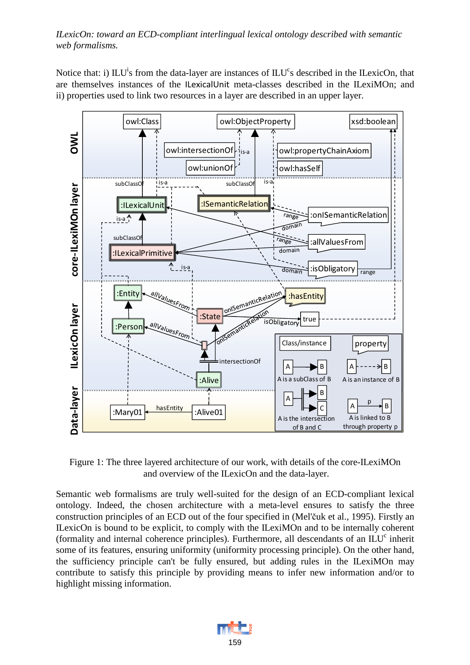Notice that: i)  $\mathbb{L}U^{\mathfrak{i}}$  from the data-layer are instances of  $\mathbb{L}U^{\mathfrak{c}}$  described in the ILexicOn, that are themselves instances of the ILexicalUnit meta-classes described in the ILexiMOn; and ii) properties used to link two resources in a layer are described in an upper layer.



Figure 1: The three layered architecture of our work, with details of the core-ILexiMOn and overview of the ILexicOn and the data-layer.

Semantic web formalisms are truly well-suited for the design of an ECD-compliant lexical ontology. Indeed, the chosen architecture with a meta-level ensures to satisfy the three construction principles of an ECD out of the four specified in (Mel'čuk et al., 1995). Firstly an ILexicOn is bound to be explicit, to comply with the ILexiMOn and to be internally coherent (formality and internal coherence principles). Furthermore, all descendants of an  $\text{ILU}^c$  inherit some of its features, ensuring uniformity (uniformity processing principle). On the other hand, the sufficiency principle can't be fully ensured, but adding rules in the ILexiMOn may contribute to satisfy this principle by providing means to infer new information and/or to highlight missing information.

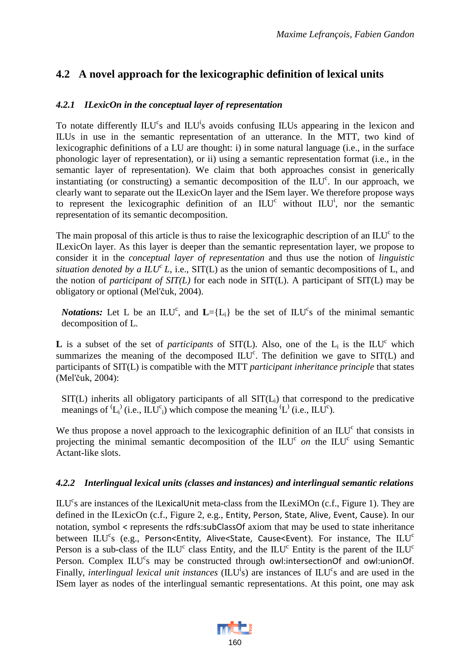### **4.2 A novel approach for the lexicographic definition of lexical units**

### *4.2.1 ILexicOn in the conceptual layer of representation*

To notate differently ILU<sup>c</sup>s and ILU<sup>i</sup>s avoids confusing ILUs appearing in the lexicon and ILUs in use in the semantic representation of an utterance. In the MTT, two kind of lexicographic definitions of a LU are thought: i) in some natural language (i.e., in the surface phonologic layer of representation), or ii) using a semantic representation format (i.e., in the semantic layer of representation). We claim that both approaches consist in generically instantiating (or constructing) a semantic decomposition of the  $\mathbb{L}U^c$ . In our approach, we clearly want to separate out the ILexicOn layer and the ISem layer. We therefore propose ways to represent the lexicographic definition of an  $\mathbb{L}U^c$  without  $\mathbb{L}U^i$ , nor the semantic representation of its semantic decomposition.

The main proposal of this article is thus to raise the lexicographic description of an  $\text{ILU}^c$  to the ILexicOn layer. As this layer is deeper than the semantic representation layer, we propose to consider it in the *conceptual layer of representation* and thus use the notion of *linguistic situation denoted by a*  $ILU<sup>c</sup>L$ *, i.e., SIT(L)* as the union of semantic decompositions of L, and the notion of *participant of SIT(L)* for each node in SIT(L). A participant of SIT(L) may be obligatory or optional (Mel'čuk, 2004).

*Notations:* Let L be an  $\text{ILU}^c$ , and  $\text{L}=\{L_i\}$  be the set of  $\text{ILU}^c$  of the minimal semantic decomposition of L.

**L** is a subset of the set of *participants* of SIT(L). Also, one of the  $L_i$  is the ILU<sup>c</sup> which summarizes the meaning of the decomposed  $\text{ILU}^c$ . The definition we gave to  $\text{SIT}(L)$  and participants of SIT(L) is compatible with the MTT *participant inheritance principle* that states (Mel'čuk, 2004):

 $SIT(L)$  inherits all obligatory participants of all  $SIT(L<sub>i</sub>)$  that correspond to the predicative meanings of  $(L_i)$  (i.e.,  $ILU_c$ ) which compose the meaning  $(L)$  (i.e.,  $ILU_c$ ).

We thus propose a novel approach to the lexicographic definition of an ILU<sup>c</sup> that consists in projecting the minimal semantic decomposition of the ILU<sup>c</sup> on the ILU<sup>c</sup> using Semantic Actant-like slots.

### *4.2.2 Interlingual lexical units (classes and instances) and interlingual semantic relations*

ILU<sup>c</sup>s are instances of the ILexicalUnit meta-class from the ILexiMOn (c.f., Figure 1). They are defined in the ILexicOn (c.f., Figure 2, e.g., Entity, Person, State, Alive, Event, Cause). In our notation, symbol < represents the rdfs:subClassOf axiom that may be used to state inheritance between  $\mathbb{L} U^c$ s (e.g., Person<Entity, Alive<State, Cause<Event). For instance, The  $\mathbb{L} U^c$ Person is a sub-class of the  $\mathbb{L}U^c$  class Entity, and the  $\mathbb{L}U^c$  Entity is the parent of the  $\mathbb{L}U^c$ Person. Complex ILU<sup>c</sup>s may be constructed through owl:intersectionOf and owl:unionOf. Finally, *interlingual lexical unit instances* (ILU<sup>i</sup>s) are instances of ILU<sup>c</sup>s and are used in the ISem layer as nodes of the interlingual semantic representations. At this point, one may ask

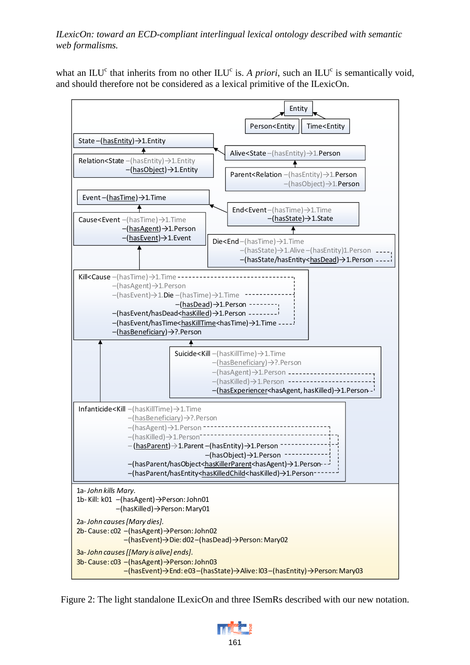what an  $ILU<sup>c</sup>$  that inherits from no other  $ILU<sup>c</sup>$  is. *A priori*, such an  $ILU<sup>c</sup>$  is semantically void, and should therefore not be considered as a lexical primitive of the ILexicOn.



Figure 2: The light standalone ILexicOn and three ISemRs described with our new notation.

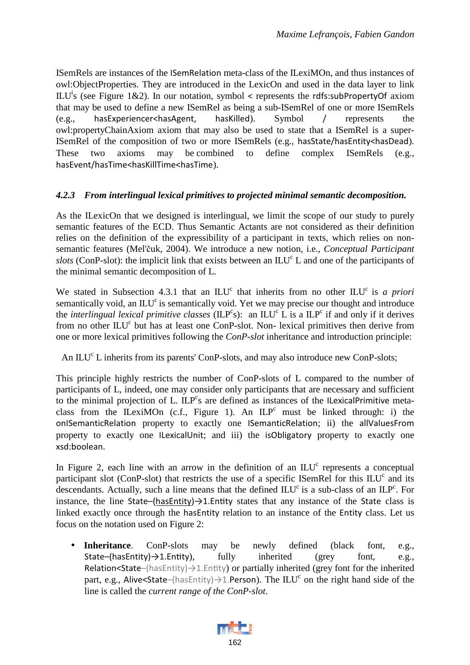ISemRels are instances of the ISemRelation meta-class of the ILexiMOn, and thus instances of owl:ObjectProperties. They are introduced in the LexicOn and used in the data layer to link ILU<sup>i</sup>s (see Figure 1&2). In our notation, symbol < represents the rdfs:subPropertyOf axiom that may be used to define a new ISemRel as being a sub-ISemRel of one or more ISemRels (e.g., hasExperiencer<hasAgent, hasKilled). Symbol / represents the owl:propertyChainAxiom axiom that may also be used to state that a ISemRel is a super-ISemRel of the composition of two or more ISemRels (e.g., hasState/hasEntity<hasDead). These two axioms may be combined to define complex ISemRels (e.g., hasEvent/hasTime<hasKillTime<hasTime).

### *4.2.3 From interlingual lexical primitives to projected minimal semantic decomposition.*

As the ILexicOn that we designed is interlingual, we limit the scope of our study to purely semantic features of the ECD. Thus Semantic Actants are not considered as their definition relies on the definition of the expressibility of a participant in texts, which relies on nonsemantic features (Mel'čuk, 2004). We introduce a new notion, i.e., *Conceptual Participant*  slots (ConP-slot): the implicit link that exists between an ILU<sup>c</sup> L and one of the participants of the minimal semantic decomposition of L.

We stated in Subsection 4.3.1 that an  $\mathbb{L}U^c$  that inherits from no other  $\mathbb{L}U^c$  is *a priori* semantically void, an ILU<sup>c</sup> is semantically void. Yet we may precise our thought and introduce the *interlingual lexical primitive classes* ( $ILP<sup>c</sup>$ s): an  $ILU<sup>c</sup> L$  is a  $ILP<sup>c</sup>$  if and only if it derives from no other ILU<sup>c</sup> but has at least one ConP-slot. Non- lexical primitives then derive from one or more lexical primitives following the *ConP-slot* inheritance and introduction principle:

An ILU<sup>c</sup> L inherits from its parents' ConP-slots, and may also introduce new ConP-slots;

This principle highly restricts the number of ConP-slots of L compared to the number of participants of L, indeed, one may consider only participants that are necessary and sufficient to the minimal projection of L.  $ILP<sup>c</sup>s$  are defined as instances of the ILexicalPrimitive metaclass from the ILexiMOn (c.f., Figure 1). An  $ILP<sup>c</sup>$  must be linked through: i) the onISemanticRelation property to exactly one ISemanticRelation; ii) the allValuesFrom property to exactly one ILexicalUnit; and iii) the isObligatory property to exactly one xsd:boolean.

In Figure 2, each line with an arrow in the definition of an  $ILU<sup>c</sup>$  represents a conceptual participant slot (ConP-slot) that restricts the use of a specific ISemRel for this  $\mathbb{L}U^c$  and its descendants. Actually, such a line means that the defined  $\mathbb{L}U^c$  is a sub-class of an  $\mathbb{L}P^c$ . For instance, the line State–(hasEntity) $\rightarrow$ 1.Entity states that any instance of the State class is linked exactly once through the hasEntity relation to an instance of the Entity class. Let us focus on the notation used on Figure 2:

• **Inheritance**. ConP-slots may be newly defined (black font, e.g., State–(hasEntity) $\rightarrow$ 1.Entity), fully inherited (grey font, e.g., Relation<State– $(hasEntity) \rightarrow 1$ . Entity) or partially inherited (grey font for the inherited part, e.g., Alive<State–(hasEntity) $\rightarrow$ 1.Person). The  $\mathrm{ILU}^c$  on the right hand side of the line is called the *current range of the ConP-slot*.

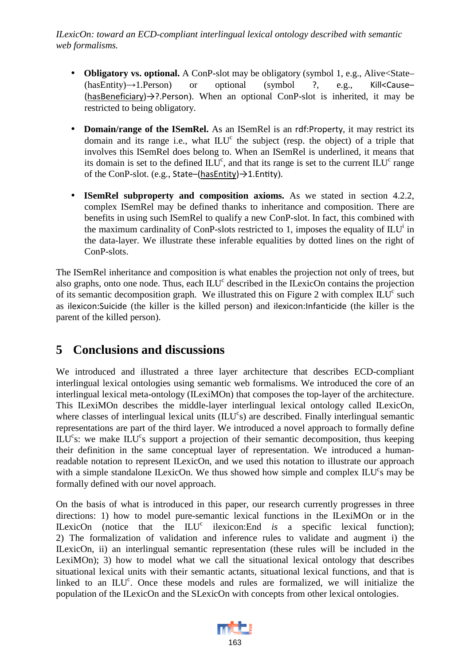- **Obligatory vs. optional.** A ConP-slot may be obligatory (symbol 1, e.g., Alive < State– (hasEntity)→1.Person) or optional (symbol ?, e.g., Kill<Cause– (hasBeneficiary)→?.Person). When an optional ConP-slot is inherited, it may be restricted to being obligatory.
- **Domain/range of the ISemRel.** As an ISemRel is an rdf:Property, it may restrict its domain and its range i.e., what  $ILU<sup>c</sup>$  the subject (resp. the object) of a triple that involves this ISemRel does belong to. When an ISemRel is underlined, it means that its domain is set to the defined  $\mathbb{L}U^c$ , and that its range is set to the current  $\mathbb{L}U^c$  range of the ConP-slot. (e.g., State–(hasEntity)→1.Entity).
- **ISemRel subproperty and composition axioms.** As we stated in section 4.2.2, complex ISemRel may be defined thanks to inheritance and composition. There are benefits in using such ISemRel to qualify a new ConP-slot. In fact, this combined with the maximum cardinality of ConP-slots restricted to 1, imposes the equality of  $\mathbb{L}U^i$  in the data-layer. We illustrate these inferable equalities by dotted lines on the right of ConP-slots.

The ISemRel inheritance and composition is what enables the projection not only of trees, but also graphs, onto one node. Thus, each  $\text{ILU}^c$  described in the ILexicOn contains the projection of its semantic decomposition graph. We illustrated this on Figure 2 with complex  $\mathbb{L}U^c$  such as ilexicon:Suicide (the killer is the killed person) and ilexicon:Infanticide (the killer is the parent of the killed person).

### **5 Conclusions and discussions**

We introduced and illustrated a three layer architecture that describes ECD-compliant interlingual lexical ontologies using semantic web formalisms. We introduced the core of an interlingual lexical meta-ontology (ILexiMOn) that composes the top-layer of the architecture. This ILexiMOn describes the middle-layer interlingual lexical ontology called ILexicOn, where classes of interlingual lexical units (ILU<sup>c</sup>s) are described. Finally interlingual semantic representations are part of the third layer. We introduced a novel approach to formally define ILU<sup>c</sup>s: we make ILU<sup>c</sup>s support a projection of their semantic decomposition, thus keeping their definition in the same conceptual layer of representation. We introduced a humanreadable notation to represent ILexicOn, and we used this notation to illustrate our approach with a simple standalone ILexicOn. We thus showed how simple and complex  $\mathbb{L}U^c$ s may be formally defined with our novel approach.

On the basis of what is introduced in this paper, our research currently progresses in three directions: 1) how to model pure-semantic lexical functions in the ILexiMOn or in the ILexicOn (notice that the  $ILU^c$  ilexicon:End *is* a specific lexical function); 2) The formalization of validation and inference rules to validate and augment i) the ILexicOn, ii) an interlingual semantic representation (these rules will be included in the LexiMOn); 3) how to model what we call the situational lexical ontology that describes situational lexical units with their semantic actants, situational lexical functions, and that is linked to an  $\mathbb{L}U^c$ . Once these models and rules are formalized, we will initialize the population of the ILexicOn and the SLexicOn with concepts from other lexical ontologies.